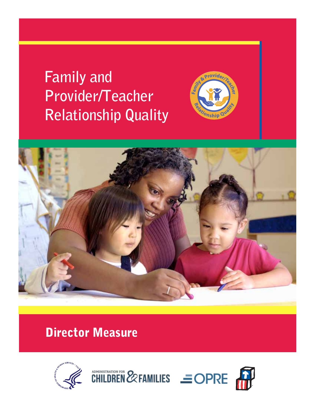**Family and Provider/Teacher Relationship Quality** 





# Director Measure



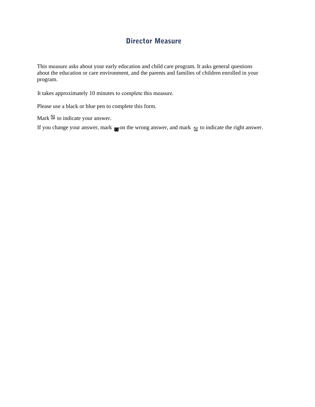### Director Measure

This measure asks about your early education and child care program. It asks general questions about the education or care environment, and the parents and families of children enrolled in your program.

It takes approximately 10 minutes to complete this measure.

Please use a black or blue pen to complete this form.

Mark  $\boxtimes$  to indicate your answer.

If you change your answer, mark  $\blacksquare$  on the wrong answer, and mark  $\blacksquare$  to indicate the right answer.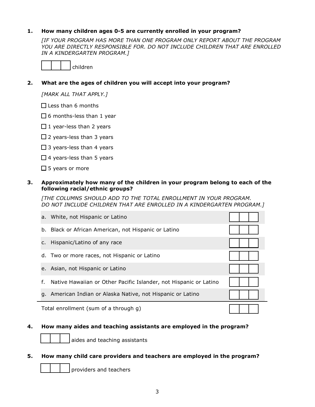### **1. How many children ages 05 are currently enrolled in your program?**

 *[IF YOUR PROGRAM HAS MORE THAN ONE PROGRAM ONLY REPORT ABOUT THE PROGRAM YOU ARE DIRECTLY RESPONSIBLE FOR. DO NOT INCLUDE CHILDREN THAT ARE ENROLLED IN A KINDERGARTEN PROGRAM.]* 



### **2. What are the ages of children you will accept into your program?**

 *[MARK ALL THAT APPLY.]* 

Less than 6 months

6 months-less than 1 year

- 1 year-less than 2 years
- 2 years-less than 3 years
- 3 years-less than 4 years
- 4 years-less than 5 years
- 5 years or more

### **3. Approximately how many of the children in your program belong to each of the following racial/ethnic groups?**

 *[THE COLUMNS SHOULD ADD TO THE TOTAL ENROLLMENT IN YOUR PROGRAM. DO NOT INCLUDE CHILDREN THAT ARE ENROLLED IN A KINDERGARTEN PROGRAM.]*

|                                       | a. White, not Hispanic or Latino                                  |  |
|---------------------------------------|-------------------------------------------------------------------|--|
|                                       | b. Black or African American, not Hispanic or Latino              |  |
|                                       | c. Hispanic/Latino of any race                                    |  |
|                                       | d. Two or more races, not Hispanic or Latino                      |  |
|                                       | e. Asian, not Hispanic or Latino                                  |  |
| f.                                    | Native Hawaiian or Other Pacific Islander, not Hispanic or Latino |  |
|                                       | g. American Indian or Alaska Native, not Hispanic or Latino       |  |
| Total enrollment (sum of a through g) |                                                                   |  |

### **4. How many aides and teaching assistants are employed in the program?**

aides and teaching assistants

### **5. How many child care providers and teachers are employed in the program?**

providers and teachers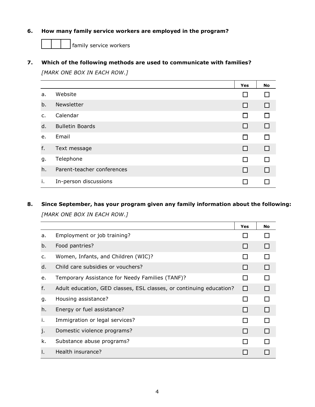### **6. How many family service workers are employed in the program?**

family service workers

### **7. Which of the following methods are used to communicate with families?**

 *[MARK ONE BOX IN EACH ROW.]* 

|                |                            | <b>Yes</b>      | No |
|----------------|----------------------------|-----------------|----|
| a.             | Website                    |                 |    |
| b.             | Newsletter                 | l 1             |    |
| $\mathsf{C}$ . | Calendar                   | l l             |    |
| d.             | <b>Bulletin Boards</b>     | H               |    |
| e.             | Email                      | <b>Contract</b> |    |
| f.             | Text message               | l 1             |    |
| g.             | Telephone                  | $\mathbf{I}$    |    |
| h.             | Parent-teacher conferences | - 1             |    |
| Τ.             | In-person discussions      |                 |    |

### **8. Since September, has your program given any family information about the following:**   *[MARK ONE BOX IN EACH ROW.]*

|                |                                                                     | Yes          | No |
|----------------|---------------------------------------------------------------------|--------------|----|
| a.             | Employment or job training?                                         |              |    |
| b.             | Food pantries?                                                      |              |    |
| $\mathsf{C}$ . | Women, Infants, and Children (WIC)?                                 |              |    |
| d.             | Child care subsidies or vouchers?                                   |              |    |
| е.             | Temporary Assistance for Needy Families (TANF)?                     |              |    |
| f.             | Adult education, GED classes, ESL classes, or continuing education? | П            |    |
| g.             | Housing assistance?                                                 | $\mathbf{I}$ |    |
| h.             | Energy or fuel assistance?                                          |              |    |
| i.             | Immigration or legal services?                                      |              |    |
| j.             | Domestic violence programs?                                         |              |    |
| k.             | Substance abuse programs?                                           |              |    |
|                | Health insurance?                                                   |              |    |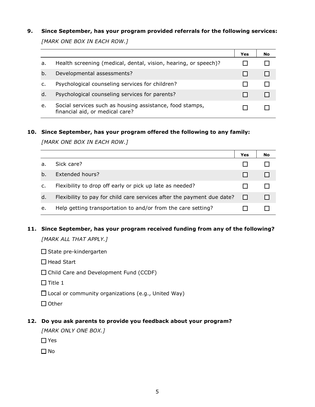### **9. Since September, has your program provided referrals for the following services:**   *[MARK ONE BOX IN EACH ROW.]*

|    |                                                                                             | Yes | No |
|----|---------------------------------------------------------------------------------------------|-----|----|
| a. | Health screening (medical, dental, vision, hearing, or speech)?                             |     |    |
| b. | Developmental assessments?                                                                  |     |    |
| c. | Psychological counseling services for children?                                             |     |    |
| d. | Psychological counseling services for parents?                                              |     |    |
| e. | Social services such as housing assistance, food stamps,<br>financial aid, or medical care? |     |    |

#### **10. Since September, has your program offered the following to any family:**

 *[MARK ONE BOX IN EACH ROW.]* 

|    |                                                                        | Yes | No |
|----|------------------------------------------------------------------------|-----|----|
| а. | Sick care?                                                             |     |    |
| b. | Extended hours?                                                        |     |    |
| c. | Flexibility to drop off early or pick up late as needed?               |     |    |
| d. | Flexibility to pay for child care services after the payment due date? |     |    |
| e. | Help getting transportation to and/or from the care setting?           |     |    |

## **11. Since September, has your program received funding from any of the following?**

 *[MARK ALL THAT APPLY.]* 

 $\square$  State pre-kindergarten

 $\Box$  Head Start

Child Care and Development Fund (CCDF)

 $\Box$  Title 1

Local or community organizations (e.g., United Way)

 $\Box$  Other

### **12. Do you ask parents to provide you feedback about your program?**

 *[MARK ONLY ONE BOX.]* 

□ Yes

 $\n **1**$  No